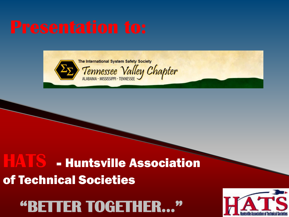

# HATS - Huntsville Association of Technical Societies

# "BETTER TOGETHER..."

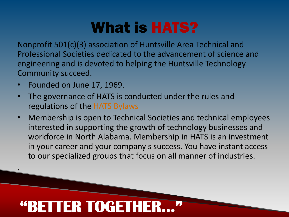# What is HATS?

Nonprofit 501(c)(3) association of Huntsville Area Technical and Professional Societies dedicated to the advancement of science and engineering and is devoted to helping the Huntsville Technology Community succeed.

• Founded on June 17, 1969.

.

- The governance of HATS is conducted under the rules and regulations of the [HATS Bylaws](http://www.hats.org/HATS_Bylaws.pdf)
- Membership is open to Technical Societies and technical employees interested in supporting the growth of technology businesses and workforce in North Alabama. Membership in HATS is an investment in your career and your company's success. You have instant access to our specialized groups that focus on all manner of industries.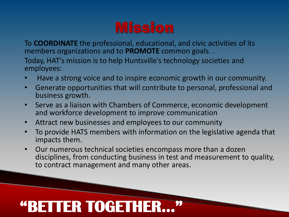To **COORDINATE** the professional, educational, and civic activities of its members organizations and to **PROMOTE** common goals. .

Today, HAT's mission is to help Huntsville's technology societies and employees:

- Have a strong voice and to inspire economic growth in our community.
- Generate opportunities that will contribute to personal, professional and business growth.
- Serve as a liaison with Chambers of Commerce, economic development and workforce development to improve communication
- Attract new businesses and employees to our community
- To provide HATS members with information on the legislative agenda that impacts them.
- Our numerous technical societies encompass more than a dozen disciplines, from conducting business in test and measurement to quality, to contract management and many other areas.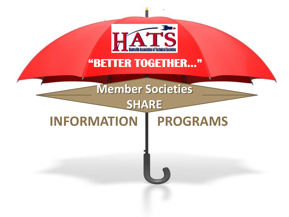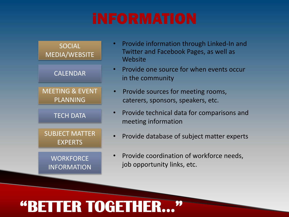

- Provide information through Linked-In and Twitter and Facebook Pages, as well as Website
- Provide one source for when events occur in the community
- Provide sources for meeting rooms, caterers, sponsors, speakers, etc.
- Provide technical data for comparisons and meeting information
- Provide database of subject matter experts
- Provide coordination of workforce needs, job opportunity links, etc.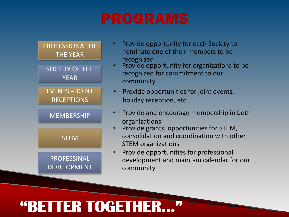

- Provide opportunity for each Society to nominate one of their members to be recognized
- Provide opportunity for organizations to be recognized for commitment to our community
- Provide opportunities for joint events, holiday reception, etc…
- Provide and encourage membership in both organizations
- Provide grants, opportunities for STEM, consolidation and coordination with other STEM organizations
- Provide opportunities for professional development and maintain calendar for our community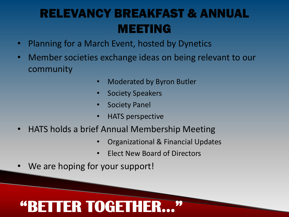### RELEVANCY BREAKFAST & ANNUAL MEETING

- Planning for a March Event, hosted by Dynetics
- Member societies exchange ideas on being relevant to our community
	- Moderated by Byron Butler
	- **Society Speakers**
	- **Society Panel**
	- HATS perspective
- HATS holds a brief Annual Membership Meeting
	- Organizational & Financial Updates
	- Elect New Board of Directors
- We are hoping for your support!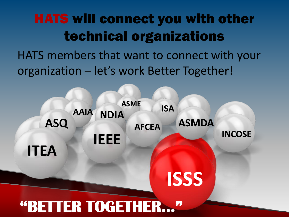## HATS will connect you with other technical organizations

HATS members that want to connect with your organization – let's work Better Together!